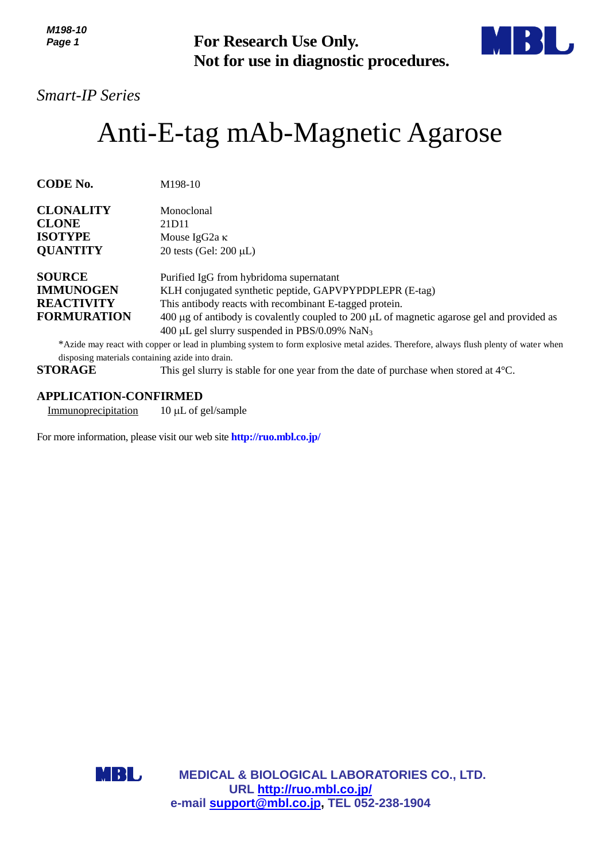*M198-10 Page 1*



# *Smart-IP Series*

# Anti-E-tag mAb-Magnetic Agarose

| טו -סט ועו<br>Page 1                                                         | For Research Use Only.<br>Not for use in diagnostic procedures.                                                                                                                                                                                                                                                                    |  |
|------------------------------------------------------------------------------|------------------------------------------------------------------------------------------------------------------------------------------------------------------------------------------------------------------------------------------------------------------------------------------------------------------------------------|--|
| <b>Smart-IP Series</b>                                                       |                                                                                                                                                                                                                                                                                                                                    |  |
| Anti-E-tag mAb-Magnetic Agarose                                              |                                                                                                                                                                                                                                                                                                                                    |  |
| <b>CODE No.</b>                                                              | M198-10                                                                                                                                                                                                                                                                                                                            |  |
| <b>CLONALITY</b>                                                             | Monoclonal                                                                                                                                                                                                                                                                                                                         |  |
| <b>CLONE</b>                                                                 | 21D11                                                                                                                                                                                                                                                                                                                              |  |
| <b>ISOTYPE</b><br><b>QUANTITY</b>                                            | Mouse IgG <sub>2a</sub> κ<br>20 tests (Gel: $200 \mu L$ )                                                                                                                                                                                                                                                                          |  |
| <b>SOURCE</b><br><b>IMMUNOGEN</b><br><b>REACTIVITY</b><br><b>FORMURATION</b> | Purified IgG from hybridoma supernatant<br>KLH conjugated synthetic peptide, GAPVPYPDPLEPR (E-tag)<br>This antibody reacts with recombinant E-tagged protein.<br>400 $\mu$ g of antibody is covalently coupled to 200 $\mu$ L of magnetic agarose gel and provided as<br>400 μL gel slurry suspended in PBS/0.09% NaN <sub>3</sub> |  |
|                                                                              | *Azide may react with copper or lead in plumbing system to form explosive metal azides. Therefore, always flush plenty of water when                                                                                                                                                                                               |  |
| disposing materials containing azide into drain.                             |                                                                                                                                                                                                                                                                                                                                    |  |
| <b>STORAGE</b>                                                               | This gel slurry is stable for one year from the date of purchase when stored at 4°C.                                                                                                                                                                                                                                               |  |
| <b>APPLICATION-CONFIRMED</b>                                                 |                                                                                                                                                                                                                                                                                                                                    |  |
| Immunoprecipitation                                                          | 10 μL of gel/sample                                                                                                                                                                                                                                                                                                                |  |
|                                                                              | For more information, please visit our web site http://ruo.mbl.co.jp/                                                                                                                                                                                                                                                              |  |
| MBL                                                                          | <b>MEDICAL &amp; BIOLOGICAL LABORATORIES CO., LTD.</b><br>URL http://ruo.mbl.co.jp/<br>e-mail support@mbl.co.jp, TEL 052-238-1904                                                                                                                                                                                                  |  |

## **APPLICATION-CONFIRMED**

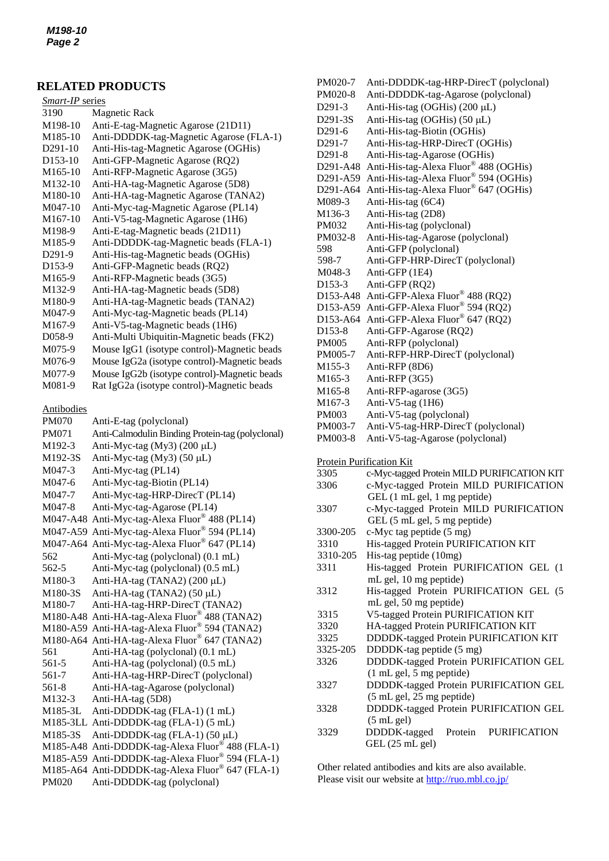## **RELATED PRODUCTS**

| Smart-IP series      |                                              |  |
|----------------------|----------------------------------------------|--|
| 3190                 | <b>Magnetic Rack</b>                         |  |
| M198-10              | Anti-E-tag-Magnetic Agarose (21D11)          |  |
| M <sub>185-10</sub>  | Anti-DDDDK-tag-Magnetic Agarose (FLA-1)      |  |
| D <sub>291</sub> -10 | Anti-His-tag-Magnetic Agarose (OGHis)        |  |
| D <sub>153</sub> -10 | Anti-GFP-Magnetic Agarose (RQ2)              |  |
| M165-10              | Anti-RFP-Magnetic Agarose (3G5)              |  |
| M132-10              | Anti-HA-tag-Magnetic Agarose (5D8)           |  |
| M180-10              | Anti-HA-tag-Magnetic Agarose (TANA2)         |  |
| M047-10              | Anti-Myc-tag-Magnetic Agarose (PL14)         |  |
| M <sub>167</sub> -10 | Anti-V5-tag-Magnetic Agarose (1H6)           |  |
| M198-9               | Anti-E-tag-Magnetic beads (21D11)            |  |
| M185-9               | Anti-DDDDK-tag-Magnetic beads (FLA-1)        |  |
| D <sub>291-9</sub>   | Anti-His-tag-Magnetic beads (OGHis)          |  |
| D <sub>153</sub> -9  | Anti-GFP-Magnetic beads (RQ2)                |  |
| M165-9               | Anti-RFP-Magnetic beads (3G5)                |  |
| M132-9               | Anti-HA-tag-Magnetic beads (5D8)             |  |
| M180-9               | Anti-HA-tag-Magnetic beads (TANA2)           |  |
| M047-9               | Anti-Myc-tag-Magnetic beads (PL14)           |  |
| M167-9               | Anti-V5-tag-Magnetic beads (1H6)             |  |
| D <sub>058</sub> -9  | Anti-Multi Ubiquitin-Magnetic beads (FK2)    |  |
| M075-9               | Mouse IgG1 (isotype control)-Magnetic beads  |  |
| M076-9               | Mouse IgG2a (isotype control)-Magnetic beads |  |
| M077-9               | Mouse IgG2b (isotype control)-Magnetic beads |  |
| M081-9               | Rat IgG2a (isotype control)-Magnetic beads   |  |

#### Antibodies

| <b>PM070</b> | Anti-E-tag (polyclonal)                          |
|--------------|--------------------------------------------------|
| PM071        | Anti-Calmodulin Binding Protein-tag (polyclonal) |
| M192-3       | Anti-Myc-tag (My3) (200 µL)                      |
| M192-3S      | Anti-Myc-tag (My3) (50 µL)                       |
| M047-3       | Anti-Myc-tag (PL14)                              |
| M047-6       | Anti-Myc-tag-Biotin (PL14)                       |
| M047-7       | Anti-Myc-tag-HRP-DirecT (PL14)                   |
| M047-8       | Anti-Myc-tag-Agarose (PL14)                      |
| M047-A48     | Anti-Myc-tag-Alexa Fluor® 488 (PL14)             |
|              | M047-A59 Anti-Myc-tag-Alexa Fluor® 594 (PL14)    |
|              | M047-A64 Anti-Myc-tag-Alexa Fluor® 647 (PL14)    |
| 562          | Anti-Myc-tag (polyclonal) (0.1 mL)               |
| 562-5        | Anti-Myc-tag (polyclonal) (0.5 mL)               |
| M180-3       | Anti-HA-tag (TANA2) (200 µL)                     |
| M180-3S      | Anti-HA-tag (TANA2) (50 µL)                      |
| M180-7       | Anti-HA-tag-HRP-DirecT (TANA2)                   |
| M180-A48     | Anti-HA-tag-Alexa Fluor <sup>®</sup> 488 (TANA2) |
|              | M180-A59 Anti-HA-tag-Alexa Fluor® 594 (TANA2)    |
|              | M180-A64 Anti-HA-tag-Alexa Fluor® 647 (TANA2)    |
| 561          | Anti-HA-tag (polyclonal) (0.1 mL)                |
| 561-5        | Anti-HA-tag (polyclonal) (0.5 mL)                |
| 561-7        | Anti-HA-tag-HRP-DirecT (polyclonal)              |
| 561-8        | Anti-HA-tag-Agarose (polyclonal)                 |
| M132-3       | Anti-HA-tag (5D8)                                |
| M185-3L      | Anti-DDDDK-tag (FLA-1) (1 mL)                    |
|              | M185-3LL Anti-DDDDK-tag (FLA-1) (5 mL)           |
| M185-3S      | Anti-DDDDK-tag (FLA-1) (50 µL)                   |
| M185-A48     | Anti-DDDDK-tag-Alexa Fluor® 488 (FLA-1)          |
|              | M185-A59 Anti-DDDDK-tag-Alexa Fluor® 594 (FLA-1) |
|              | M185-A64 Anti-DDDDK-tag-Alexa Fluor® 647 (FLA-1) |
| <b>PM020</b> | Anti-DDDDK-tag (polyclonal)                      |

| PM020-7                           | Anti-DDDDK-tag-HRP-DirecT (polyclonal)   |
|-----------------------------------|------------------------------------------|
| PM020-8                           | Anti-DDDDK-tag-Agarose (polyclonal)      |
| D <sub>291</sub> -3               | Anti-His-tag (OGHis) (200 μL)            |
| D <sub>291</sub> -3 <sub>S</sub>  | Anti-His-tag (OGHis) (50 µL)             |
| D <sub>291</sub> -6               | Anti-His-tag-Biotin (OGHis)              |
| D <sub>291</sub> -7               | Anti-His-tag-HRP-DirecT (OGHis)          |
| D <sub>291</sub> -8               | Anti-His-tag-Agarose (OGHis)             |
| D <sub>291</sub> -A <sub>48</sub> | Anti-His-tag-Alexa Fluor® 488 (OGHis)    |
| D <sub>291</sub> -A <sub>59</sub> | Anti-His-tag-Alexa Fluor® 594 (OGHis)    |
| D291-A64                          | Anti-His-tag-Alexa Fluor® 647 (OGHis)    |
| M089-3                            | Anti-His-tag (6C4)                       |
| M136-3                            | Anti-His-tag (2D8)                       |
| PM032                             | Anti-His-tag (polyclonal)                |
| PM032-8                           | Anti-His-tag-Agarose (polyclonal)        |
| 598                               | Anti-GFP (polyclonal)                    |
| 598-7                             | Anti-GFP-HRP-DirecT (polyclonal)         |
| M048-3                            | Anti-GFP (1E4)                           |
| D <sub>153</sub> -3               | Anti-GFP (RQ2)                           |
| D153-A48                          | Anti-GFP-Alexa Fluor® 488 (RQ2)          |
|                                   | D153-A59 Anti-GFP-Alexa Fluor® 594 (RQ2) |
| D153-A64                          | Anti-GFP-Alexa Fluor® 647 (RQ2)          |
| D <sub>153</sub> -8               | Anti-GFP-Agarose (RQ2)                   |
| <b>PM005</b>                      | Anti-RFP (polyclonal)                    |
| PM005-7                           | Anti-RFP-HRP-DirecT (polyclonal)         |
| M155-3                            | Anti-RFP (8D6)                           |
| M165-3                            | Anti-RFP (3G5)                           |
| M165-8                            | Anti-RFP-agarose (3G5)                   |
| M <sub>167-3</sub>                | Anti-V5-tag $(1H6)$                      |
| <b>PM003</b>                      | Anti-V5-tag (polyclonal)                 |
| PM003-7                           | Anti-V5-tag-HRP-DirecT (polyclonal)      |
| PM003-8                           | Anti-V5-tag-Agarose (polyclonal)         |

Protein Purification Kit

| 3305     | c-Myc-tagged Protein MILD PURIFICATION KIT  |
|----------|---------------------------------------------|
| 3306     | c-Myc-tagged Protein MILD PURIFICATION      |
|          | GEL (1 mL gel, 1 mg peptide)                |
| 3307     | c-Myc-tagged Protein MILD PURIFICATION      |
|          | GEL (5 mL gel, 5 mg peptide)                |
| 3300-205 | c-Myc tag peptide (5 mg)                    |
| 3310     | His-tagged Protein PURIFICATION KIT         |
| 3310-205 | His-tag peptide (10mg)                      |
| 3311     | His-tagged Protein PURIFICATION GEL (1      |
|          | mL gel, 10 mg peptide)                      |
| 3312     | His-tagged Protein PURIFICATION GEL (5      |
|          | mL gel, 50 mg peptide)                      |
| 3315     | V5-tagged Protein PURIFICATION KIT          |
| 3320     | HA-tagged Protein PURIFICATION KIT          |
| 3325     | DDDDK-tagged Protein PURIFICATION KIT       |
| 3325-205 | DDDDK-tag peptide (5 mg)                    |
| 3326     | DDDDK-tagged Protein PURIFICATION GEL       |
|          | $(1 \text{ mL gel}, 5 \text{ mg peptide})$  |
| 3327     | DDDDK-tagged Protein PURIFICATION GEL       |
|          | $(5 \text{ mL gel}, 25 \text{ mg peptide})$ |
| 3328     | DDDDK-tagged Protein PURIFICATION GEL       |
|          | (5 mL gel)                                  |
| 3329     | DDDDK-tagged Protein<br><b>PURIFICATION</b> |
|          | GEL (25 mL gel)                             |
|          |                                             |

Other related antibodies and kits are also available. Please visit our website at [http://ruo.mbl.co.jp/](https://ruo.mbl.co.jp/)